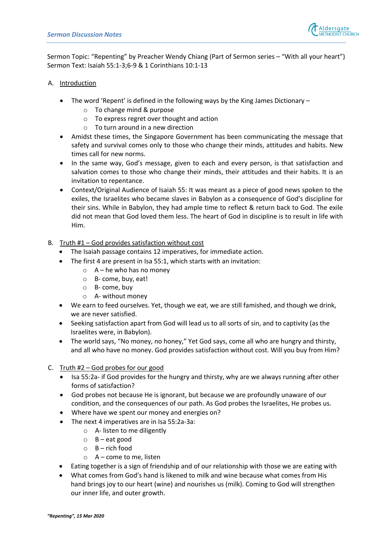

Sermon Topic: "Repenting" by Preacher Wendy Chiang (Part of Sermon series – "With all your heart") Sermon Text: Isaiah 55:1-3;6-9 & 1 Corinthians 10:1-13

## A. Introduction

- The word 'Repent' is defined in the following ways by the King James Dictionary  $$ 
	- o To change mind & purpose
	- o To express regret over thought and action
	- o To turn around in a new direction
- Amidst these times, the Singapore Government has been communicating the message that safety and survival comes only to those who change their minds, attitudes and habits. New times call for new norms.
- In the same way, God's message, given to each and every person, is that satisfaction and salvation comes to those who change their minds, their attitudes and their habits. It is an invitation to repentance.
- Context/Original Audience of Isaiah 55: It was meant as a piece of good news spoken to the exiles, the Israelites who became slaves in Babylon as a consequence of God's discipline for their sins. While in Babylon, they had ample time to reflect & return back to God. The exile did not mean that God loved them less. The heart of God in discipline is to result in life with Him.
- B. Truth #1 God provides satisfaction without cost
	- The Isaiah passage contains 12 imperatives, for immediate action.
	- The first 4 are present in Isa 55:1, which starts with an invitation:
		- $\circ$  A he who has no money
		- o B- come, buy, eat!
		- o B- come, buy
		- o A- without money
	- We earn to feed ourselves. Yet, though we eat, we are still famished, and though we drink, we are never satisfied.
	- Seeking satisfaction apart from God will lead us to all sorts of sin, and to captivity (as the Israelites were, in Babylon).
	- The world says, "No money, no honey," Yet God says, come all who are hungry and thirsty, and all who have no money. God provides satisfaction without cost. Will you buy from Him?
- C. Truth #2 God probes for our good
	- Isa 55:2a- if God provides for the hungry and thirsty, why are we always running after other forms of satisfaction?
	- God probes not because He is ignorant, but because we are profoundly unaware of our condition, and the consequences of our path. As God probes the Israelites, He probes us.
	- Where have we spent our money and energies on?
	- The next 4 imperatives are in Isa 55:2a-3a:
		- o A- listen to me diligently
		- o B eat good
		- $O$  B rich food
		- o A come to me, listen
	- Eating together is a sign of friendship and of our relationship with those we are eating with
	- What comes from God's hand is likened to milk and wine because what comes from His hand brings joy to our heart (wine) and nourishes us (milk). Coming to God will strengthen our inner life, and outer growth.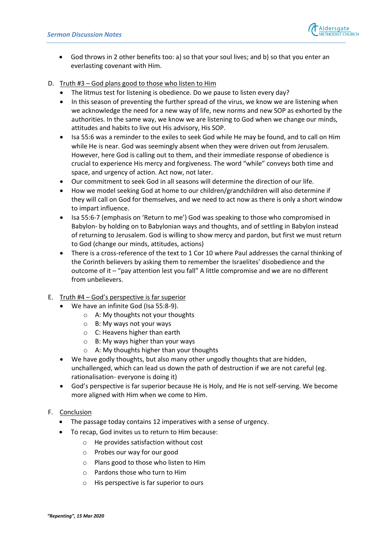

- God throws in 2 other benefits too: a) so that your soul lives; and b) so that you enter an everlasting covenant with Him.
- D. Truth #3 God plans good to those who listen to Him
	- The litmus test for listening is obedience. Do we pause to listen every day?
	- In this season of preventing the further spread of the virus, we know we are listening when we acknowledge the need for a new way of life, new norms and new SOP as exhorted by the authorities. In the same way, we know we are listening to God when we change our minds, attitudes and habits to live out His advisory, His SOP.
	- Isa 55:6 was a reminder to the exiles to seek God while He may be found, and to call on Him while He is near. God was seemingly absent when they were driven out from Jerusalem. However, here God is calling out to them, and their immediate response of obedience is crucial to experience His mercy and forgiveness. The word "while" conveys both time and space, and urgency of action. Act now, not later.
	- Our commitment to seek God in all seasons will determine the direction of our life.
	- How we model seeking God at home to our children/grandchildren will also determine if they will call on God for themselves, and we need to act now as there is only a short window to impart influence.
	- Isa 55:6-7 (emphasis on 'Return to me') God was speaking to those who compromised in Babylon- by holding on to Babylonian ways and thoughts, and of settling in Babylon instead of returning to Jerusalem. God is willing to show mercy and pardon, but first we must return to God (change our minds, attitudes, actions)
	- There is a cross-reference of the text to 1 Cor 10 where Paul addresses the carnal thinking of the Corinth believers by asking them to remember the Israelites' disobedience and the outcome of it – "pay attention lest you fall" A little compromise and we are no different from unbelievers.
- E. Truth #4 God's perspective is far superior
	- We have an infinite God (Isa 55:8-9).
		- o A: My thoughts not your thoughts
		- o B: My ways not your ways
		- o C: Heavens higher than earth
		- o B: My ways higher than your ways
		- o A: My thoughts higher than your thoughts
	- We have godly thoughts, but also many other ungodly thoughts that are hidden, unchallenged, which can lead us down the path of destruction if we are not careful (eg. rationalisation- everyone is doing it)
	- God's perspective is far superior because He is Holy, and He is not self-serving. We become more aligned with Him when we come to Him.

## F. Conclusion

- The passage today contains 12 imperatives with a sense of urgency.
- To recap, God invites us to return to Him because:
	- o He provides satisfaction without cost
	- o Probes our way for our good
	- o Plans good to those who listen to Him
	- o Pardons those who turn to Him
	- o His perspective is far superior to ours